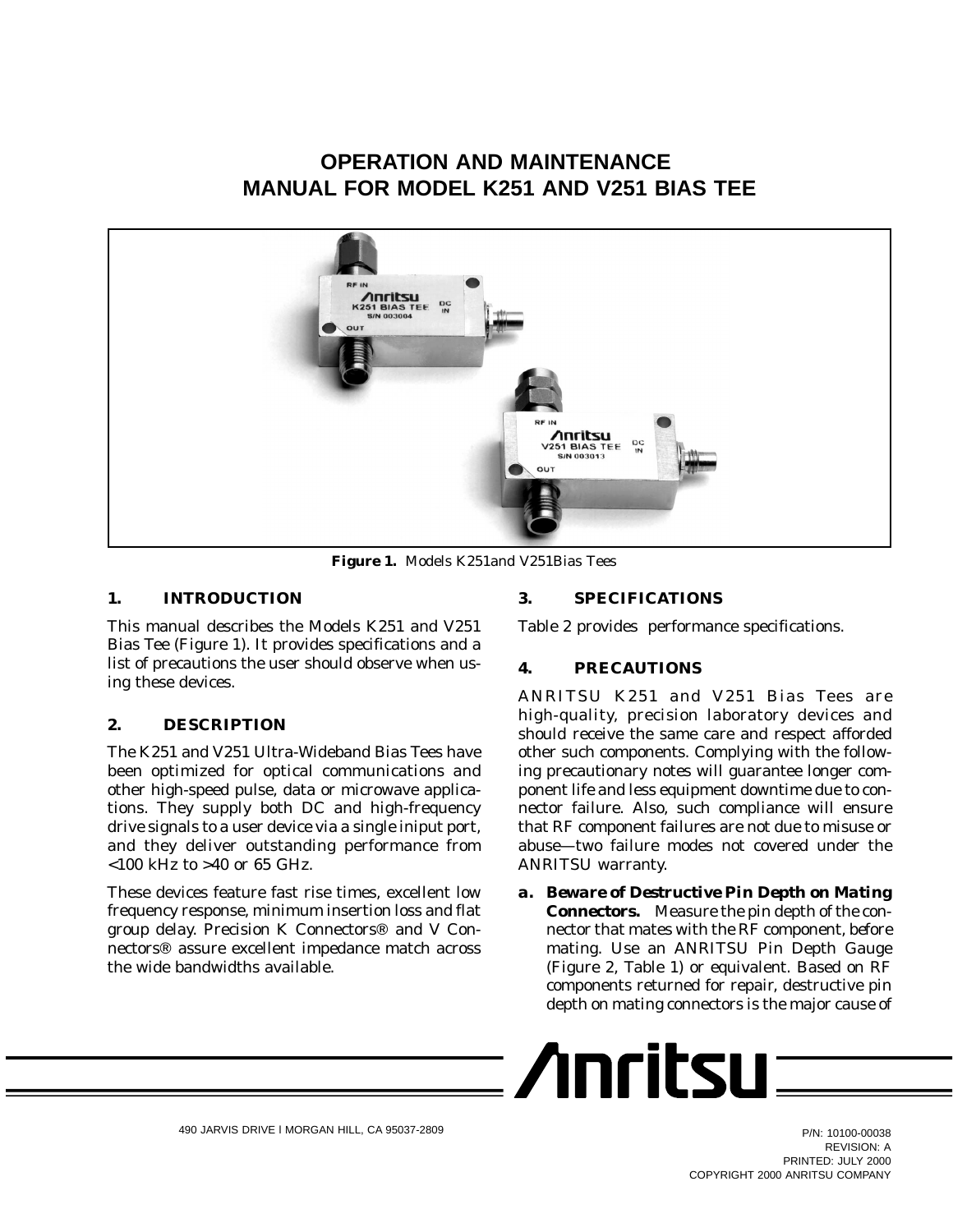# **OPERATION AND MAINTENANCE MANUAL FOR MODEL K251 AND V251 BIAS TEE**



**Figure 1.** Models K251and V251Bias Tees

### **1. INTRODUCTION**

This manual describes the Models K251 and V251 Bias Tee (Figure 1). It provides specifications and a list of precautions the user should observe when using these devices.

### **2. DESCRIPTION**

The K251 and V251 Ultra-Wideband Bias Tees have been optimized for optical communications and other high-speed pulse, data or microwave applications. They supply both DC and high-frequency drive signals to a user device via a single iniput port, and they deliver outstanding performance from <100 kHz to >40 or 65 GHz.

These devices feature fast rise times, excellent low frequency response, minimum insertion loss and flat group delay. Precision K Connectors<sup>®</sup> and V Connectors<sup>®</sup> assure excellent impedance match across the wide bandwidths available.

### **3. SPECIFICATIONS**

Table 2 provides performance specifications.

### **4. PRECAUTIONS**

ANRITSU K251 and V251 Bias Tees are high-quality, precision laboratory devices and should receive the same care and respect afforded other such components. Complying with the following precautionary notes will guarantee longer component life and less equipment downtime due to connector failure. Also, such compliance will ensure that RF component failures are not due to misuse or abuse—two failure modes not covered under the ANRITSU warranty.

*a. Beware of Destructive Pin Depth on Mating Connectors.* Measure the pin depth of the connector that mates with the RF component, *before* mating. Use an ANRITSU Pin Depth Gauge (Figure 2, Table 1) or equivalent. Based on RF components returned for repair, destructive pin depth on mating connectors is the major cause of

$$
\sqrt{\text{Inritsu}} =
$$

P/N: 10100-00038 REVISION: A PRINTED: JULY 2000 COPYRIGHT 2000 ANRITSU COMPANY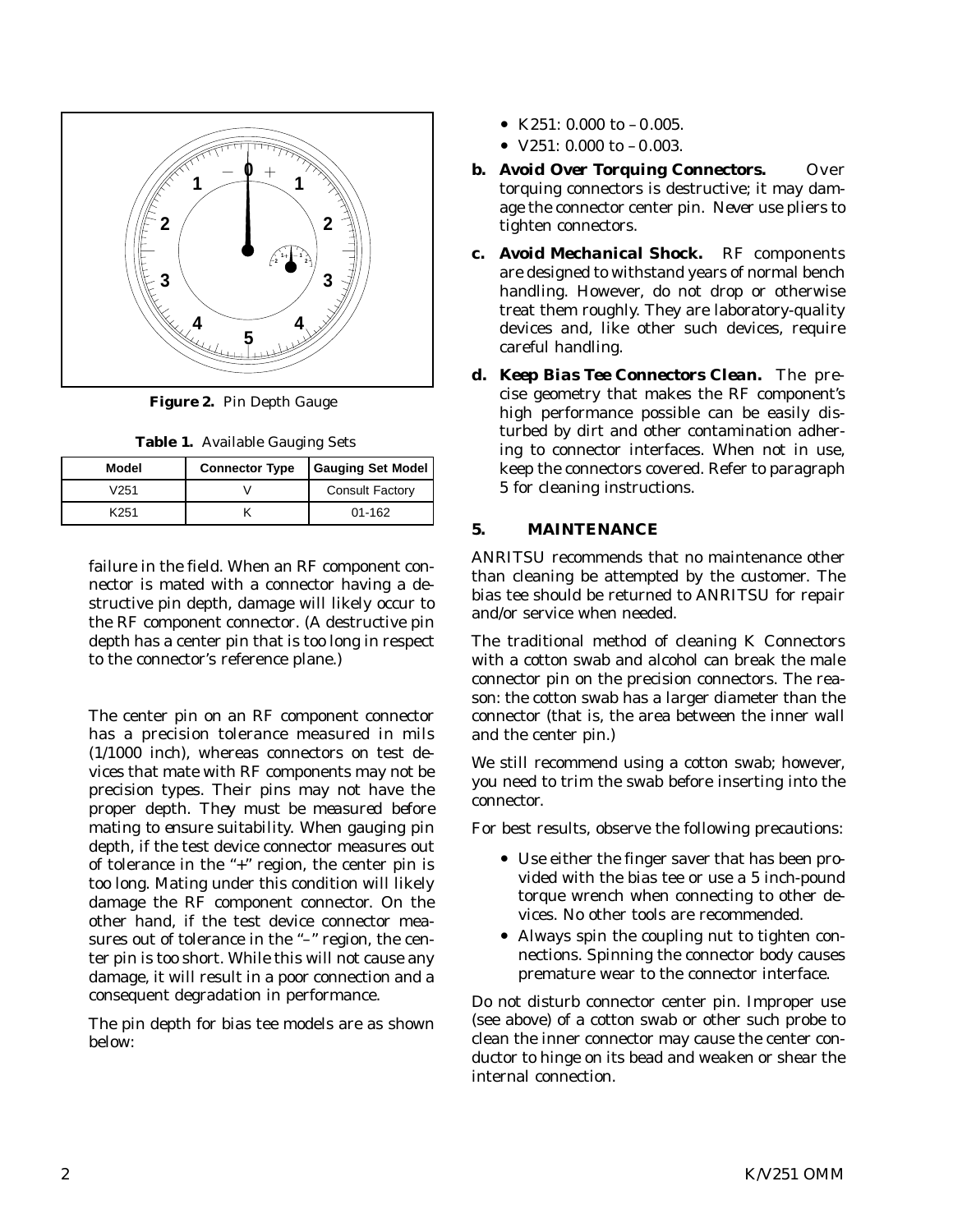

**Figure 2.** Pin Depth Gauge

| Table 1. Available Gauging Sets |  |
|---------------------------------|--|
|                                 |  |

| Model | <b>Connector Type</b> | <b>Gauging Set Model</b> |
|-------|-----------------------|--------------------------|
| V251  |                       | <b>Consult Factory</b>   |
| K251  |                       | $01 - 162$               |

failure in the field. When an RF component connector is mated with a connector having a destructive pin depth, damage will likely occur to the RF component connector. (A destructive pin depth has a center pin that is too long in respect to the connector's reference plane.)

The center pin on an RF component connector has a precision tolerance measured in mils (1/1000 inch), whereas connectors on test devices that mate with RF components may not be precision types. Their pins may not have the proper depth. *They must be measured before mating to ensure suitability.* When gauging pin depth, if the test device connector measures out of tolerance in the "+" region, the center pin is too long. Mating under this condition will likely damage the RF component connector. On the other hand, if the test device connector measures out of tolerance in the "-" region, the center pin is too short. While this will not cause any damage, it will result in a poor connection and a consequent degradation in performance.

The pin depth for bias tee models are as shown below:

- K251: 0.000 to  $-0.005$ .
- $V251: 0.000$  to  $-0.003$ .
- *b.* Avoid Over Torquing Connectors. Over torquing connectors is destructive; it may damage the connector center pin. *Never* use pliers to tighten connectors.
- *c. Avoid Mechanical Shock.* RF components are designed to withstand years of normal bench handling. However, do not drop or otherwise treat them roughly. They are laboratory-quality devices and, like other such devices, require careful handling.
- *d. Keep Bias Tee Connectors Clean.* The precise geometry that makes the RF component's high performance possible can be easily disturbed by dirt and other contamination adhering to connector interfaces. When not in use, keep the connectors covered. Refer to paragraph 5 for cleaning instructions.

### **5. MAINTENANCE**

ANRITSU recommends that no maintenance other than cleaning be attempted by the customer. The bias tee should be returned to ANRITSU for repair and/or service when needed.

The traditional method of cleaning K Connectors with a cotton swab and alcohol can break the male connector pin on the precision connectors. The reason: the cotton swab has a larger diameter than the connector (that is, the area between the inner wall and the center pin.)

We still recommend using a cotton swab; however, you need to trim the swab before inserting into the connector.

For best results, observe the following precautions:

- Use either the finger saver that has been provided with the bias tee or use a 5 inch-pound torque wrench when connecting to other devices. No other tools are recommended.
- Always spin the coupling nut to tighten connections. Spinning the connector body causes premature wear to the connector interface.

Do not disturb connector center pin. Improper use (see above) of a cotton swab or other such probe to clean the inner connector may cause the center conductor to hinge on its bead and weaken or shear the internal connection.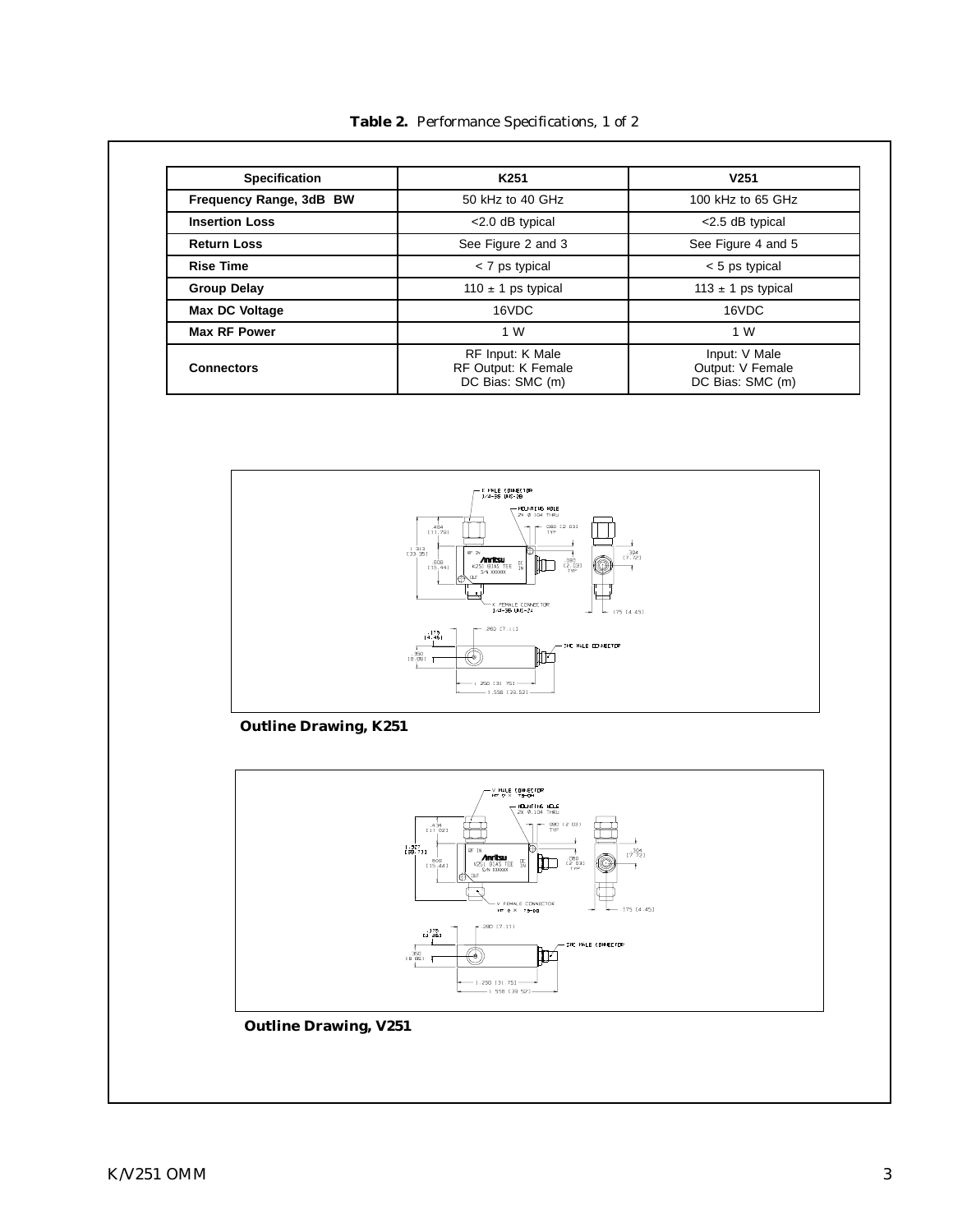**Table 2.** Performance Specifications, 1 of 2

| <b>Specification</b>    | K <sub>251</sub>                                                   | V <sub>251</sub>                                      |
|-------------------------|--------------------------------------------------------------------|-------------------------------------------------------|
| Frequency Range, 3dB BW | 50 kHz to 40 GHz                                                   | 100 kHz to 65 GHz                                     |
| <b>Insertion Loss</b>   | <2.0 dB typical                                                    | <2.5 dB typical                                       |
| <b>Return Loss</b>      | See Figure 2 and 3                                                 | See Figure 4 and 5                                    |
| <b>Rise Time</b>        | < 7 ps typical                                                     | < 5 ps typical                                        |
| <b>Group Delay</b>      | 110 $\pm$ 1 ps typical                                             | 113 $\pm$ 1 ps typical                                |
| <b>Max DC Voltage</b>   | 16VDC                                                              | 16VDC                                                 |
| <b>Max RF Power</b>     | 1 W                                                                | 1 W                                                   |
| <b>Connectors</b>       | RF Input: K Male<br><b>RF Output: K Female</b><br>DC Bias: SMC (m) | Input: V Male<br>Output: V Female<br>DC Bias: SMC (m) |



**Outline Drawing, K251**



## **Outline Drawing, V251**